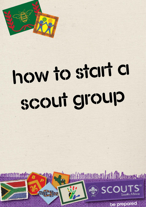

# how to start a SCOUT group

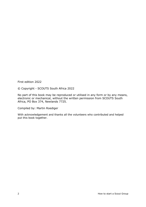First edition 2022

© Copyright - SCOUTS South Africa 2022

No part of this book may be reproduced or utilised in any form or by any means, electronic or mechanical, without the written permission from SCOUTS South Africa, PO Box 374, Newlands 7725.

Compiled by: Martin Roediger

With acknowledgement and thanks all the volunteers who contributed and helped put this book together.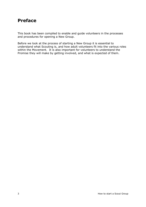# **Preface**

This book has been compiled to enable and guide volunteers in the processes and procedures for opening a New Group.

Before we look at the process of starting a New Group it is essential to understand what Scouting is, and how adult volunteers fit into the various roles within the Movement. It is also important for volunteers to understand the Promise they will make by getting involved, and what is expected of them.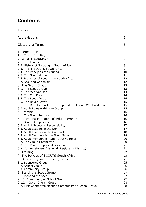# **Contents**

| Preface                                                                                                                                                                                                                                                                                                                                                                                                                                                                                                                                                                                                                                                                                                                                                                                                                                                                                                                                                                                                                                                                                                                                                                                                                                                                                                  | 3                                                                                                                                                                                                                                      |
|----------------------------------------------------------------------------------------------------------------------------------------------------------------------------------------------------------------------------------------------------------------------------------------------------------------------------------------------------------------------------------------------------------------------------------------------------------------------------------------------------------------------------------------------------------------------------------------------------------------------------------------------------------------------------------------------------------------------------------------------------------------------------------------------------------------------------------------------------------------------------------------------------------------------------------------------------------------------------------------------------------------------------------------------------------------------------------------------------------------------------------------------------------------------------------------------------------------------------------------------------------------------------------------------------------|----------------------------------------------------------------------------------------------------------------------------------------------------------------------------------------------------------------------------------------|
| Abbreviations                                                                                                                                                                                                                                                                                                                                                                                                                                                                                                                                                                                                                                                                                                                                                                                                                                                                                                                                                                                                                                                                                                                                                                                                                                                                                            | 5                                                                                                                                                                                                                                      |
| <b>Glossary of Terms</b>                                                                                                                                                                                                                                                                                                                                                                                                                                                                                                                                                                                                                                                                                                                                                                                                                                                                                                                                                                                                                                                                                                                                                                                                                                                                                 | 6                                                                                                                                                                                                                                      |
| 1. Orientation<br>1.1. This is Scouting<br>2. What is Scouting?<br>2.1. The Founder<br>2.2. History of Scouting in South Africa<br>2.3. This is SCOUTS South Africa<br>2.4. The Principles of Scouting<br>2.5. The Scout Method<br>2.6. Branches of Scouting in South Africa<br>2.7. Scouting worldwide<br>3. The Scout Group<br>3.1. The Scout Group<br>3.2. The Meerkat Den<br>3.3. The Cub Pack<br>3.4. The Scout Troop<br>3.5. The Rover Crews<br>3.6. The Den, the Pack, the Troop and the Crew - What is different?<br>3.7. Adult Roles within the Group<br>4. Promise<br>4.1. The Scout Promise<br>5. Roles and Functions of Adult Members<br>5.1. Scout Group Leader<br>5.2. A Unit Scouter's Responsibility<br>5.3. Adult Leaders in the Den<br>5.4. Adult Leaders in the Cub Pack<br>5.5. Adult Members in the Scout Troop<br>5.6. Adult Members in Administrative Roles<br>5.7. The Group Committee<br>5.8. The Parent Support Association<br>5.9. Commissioners (National, Regional & District)<br>6. Training<br>7. The Policies of SCOUTS South Africa<br>8. Different types of Scout groups<br>8.1. Sponsored Group<br>8.2. School Group<br>8.3. Community Group<br>9. Starting a Scout Group<br>9.1. Planting the seed<br>9.1.1. Community or School Group<br>9.1.2. NGO or Church Group | 8<br>8<br>8<br>8<br>8<br>9<br>10<br>11<br>12<br>12<br>13<br>13<br>14<br>14<br>14<br>15<br>15<br>15<br>16<br>16<br>16<br>16<br>17<br>17<br>18<br>19<br>20<br>20<br>21<br>21<br>22<br>23<br>25<br>25<br>26<br>26<br>27<br>27<br>27<br>28 |
| 9.2. First Committee Meeting Community or School Group                                                                                                                                                                                                                                                                                                                                                                                                                                                                                                                                                                                                                                                                                                                                                                                                                                                                                                                                                                                                                                                                                                                                                                                                                                                   | 28                                                                                                                                                                                                                                     |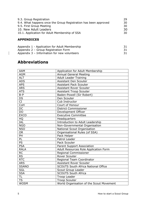| 9.3. Group Registration                                         | 29. |
|-----------------------------------------------------------------|-----|
| 9.4. What happens once the Group Registration has been approved | 30  |
| 9.5. First Group Meeting                                        | 30  |
| 10. New Adult Leaders                                           | 30  |
| 10.1. Application for Adult Membership of SSA                   | 30  |
|                                                                 |     |

# **APPENDICES**

 $\overline{\phantom{a}}$ 

| Appendix 1 - Application for Adult Membership |  |
|-----------------------------------------------|--|
| Appendix 2 – Group Registration Form          |  |
| Appendix 3 – Information for new volunteers   |  |

# **Abbreviations**

| <b>AAM</b>          | Application for Adult Membership           |
|---------------------|--------------------------------------------|
| <b>AGM</b>          | <b>Annual General Meeting</b>              |
| <b>ALT</b>          | <b>Adult Leader Training</b>               |
| <b>ADS</b>          | <b>Assistant Den Scouter</b>               |
| <b>APS</b>          | <b>Assistant Pack Scouter</b>              |
| <b>ARS</b>          | <b>Assistant Rover Scouter</b>             |
| <b>ATS</b>          | <b>Assistant Troop Scouter</b>             |
| $B-P$               | Baden-Powell (Sir Robert)                  |
| DS                  | Den Scouter                                |
| $\overline{\rm CI}$ | Cub Instructor                             |
| CoH                 | Court of Honour                            |
| DC                  | <b>District Commissioner</b>               |
| <b>DO</b>           | Development Officer                        |
| <b>EXCO</b>         | <b>Executive Committee</b>                 |
| HQ                  | Headquarters                               |
| <b>IAL</b>          | Introduction to Adult Leadership           |
| <b>NGO</b>          | Non-Governmental Organisation              |
| <b>NSO</b>          | National Scout Organisation                |
| <b>OR</b>           | Organisational Rules (of SSA)              |
| <b>PH</b>           | Pack Helper                                |
| PL                  | Patrol Leader                              |
| <b>PS</b>           | Pack Scouter                               |
| <b>PSA</b>          | Parent Support Association                 |
| <b>RALA</b>         | Adult Resources Role Application Form      |
| <b>RC</b>           | <b>Regional Commissioner</b>               |
| <b>RS</b>           | <b>Rover Scouter</b>                       |
| <b>RTC</b>          | Regional Team Coordinator                  |
| <b>ARS</b>          | <b>Assistant Rover Scouter</b>             |
| <b>SSANO</b>        | <b>SCOUTS South Africa National Office</b> |
| SGL                 | Scout Group Leader                         |
| <b>SSA</b>          | <b>SCOUTS South Africa</b>                 |
| <b>TL</b>           | <b>Troop Leader</b>                        |
| <b>TS</b>           | <b>Troop Scouter</b>                       |
| <b>WOSM</b>         | World Organisation of the Scout Movement   |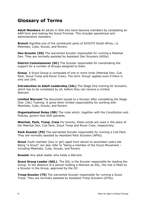# **Glossary of Terms**

**Adult Members** All adults in SSA who have become members by completing an AAM form and making the Scout Promise. This includes operational and administrative members.

**Branch** Signifies one of the constituent parts of SCOUTS South Africa, i.e. Meerkats, Cubs, Scouts, and Rovers.

**Den Scouter (DS)** The warranted Scouter responsible for running a Meerkat Den. They are normally assisted by Assistant Den Scouters (ADSs).

**District Commissioner (DC)** The Scouter responsible for coordinating the support for a number of Groups assigned to them.

**Group**. A Scout Group is composed of one or more Units (Meerkat Den, Cub Pack, Scout Troop and Rover Crew). The term 'Group' applies even if there is only one Unit.

**Introduction to Adult Leadership (IAL)** The Stage One training for Scouters, which has to be completed by all, before they can receive a Limited Warrant.

**Limited Warrant** The document issued to a Scouter after completing the Stage One: (IAL) Training. It gives them limited responsibility for working with Meerkats, Cubs, Scouts, and Rovers.

**Organisational Rules (OR)** The rules which, together with the Constitution and Policies, govern how SSA operates.

**Meerkat, Pack, Troop, Crew** For brevity, these words are used in the place of the Meerkat Den, Cub Pack, Scout Troop and Rover Crew, respectively.

**Pack Scouter (PS)** The warranted Scouter responsible for running a Cub Pack. They are normally assisted by Assistant Pack Scouters (APSs).

**Scout** Youth member (boy or girl) aged from eleven to seventeen years old. Being "a Scout" can also refer to "being a member of the Scout Movement – including Meerkats, Cubs, Scouts, and Rovers.

**Scouter** Any adult leader who holds a Warrant.

**Scout Group Leader (SGL)**. The SGL is the Scouter responsible for leading the Group. In the absence of a person holding a Warrant as SGL, the role is filled by a Scouter in the Group, approved by the DC.

**Troop Scouter (TS)** The warranted Scouter responsible for running a Scout Troop. They are normally assisted by Assistant Troop Scouters (ATSs).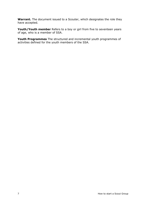**Warrant.** The document issued to a Scouter, which designates the role they have accepted.

**Youth/Youth member** Refers to a boy or girl from five to seventeen years of age, who is a member of SSA.

**Youth Programmes** The structured and incremental youth programmes of activities defined for the youth members of the SSA.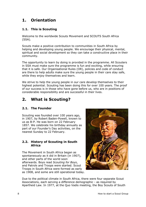# **1. Orientation**

# **1.1. This is Scouting**

Welcome to the worldwide Scouts Movement and SCOUTS South Africa (SSA).

Scouts make a positive contribution to communities in South Africa by helping and developing young people. We encourage their physical, mental, spiritual and social development so they can take a constructive place in their community.

The opportunity to learn by doing is provided in the programme. All Scouters in SSA must make sure the programme is fun and exciting, while ensuring that it is safe. Our Organisational Rules (OR), policies and code of conduct are there to help adults make sure the young people in their care stay safe, while they enjoy themselves and learn.

We strive to help the young people in our care develop themselves to their highest potential. Scouting has been doing this for over 100 years. The proof of our success is in those who have gone before us, who are in positions of considerable responsibility and are successful in their lives.

# **2. What is Scouting?**

# **2.1. The Founder**

Scouting was founded over 100 years ago, in 1907, by Robert Baden-Powell, known to us as B-P. He was born on 22 February 1857. We celebrate his birthday annually as part of our Founder's Day activities, on the nearest Sunday to 22 February.

## **2.2. History of Scouting in South Africa**

The Movement in South Africa began as spontaneously as it did in Britain (in 1907), and other parts of the world soon afterwards. Boys read *Scouting for Boys*, and Patrols and Troops were started. Scout Troops in South Africa were formed as early as 1908, and some are still operational today.



Due to the political climate in South Africa, there were four separate Scout Associations, each serving a difference demographic - as required by Apartheid Law. In 1977, at the Quo Vadis meeting, the Boy Scouts of South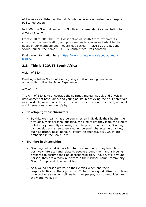Africa was established uniting all Scouts under one organisation – despite pollical objection.

In 2000, the Scout Movement in South Africa amended its constitution to allow girls to join.

From 2010 to 2013 the Scout Association of South Africa reviewed its structures, communication, and programmes to evolve and adapt to the needs of our members and modern-day society. In 2012 at the National Scout Council, the name "SCOUTS South Africa" was adopted.

Find more information here: [https://www.scouts.org.za/about-us/our](https://www.scouts.org.za/about-us/our-history/)[history/](https://www.scouts.org.za/about-us/our-history/)

# **2.3. This is SCOUTS South Africa**

#### Vision of SSA

Creating a better South Africa by giving a million young people an opportunity to live the Scout Experience.

#### Aim of SSA

The Aim of SSA is to encourage the spiritual, mental, social, and physical development of boys, girls, and young adults in achieving their full potentials as individuals, as responsible citizens and as members of their local, national, and international community's by:

#### • **Developing their character:**

• By this, we mean what a person is, as an individual: their habits, their attitudes, their personal qualities, the kind of life they lead, the kind of beliefs they have. By exposing them to positive influences, Scouting can develop and strengthen a young person's character in qualities, such as truthfulness, honour, loyalty, helpfulness, *etc.*, which are embodied in the Scout Law.

#### • **Training in citizenship:**

- Scouting helps individuals fit into the community: they learn how to positively interact l and relate to people around them and are being prepared to assume their adult responsibilities. Though, still a young person, they are already a 'citizen' in their school, home, community, Scout Group, and other activities.
- As a young person grows, so their circles widen and their responsibilities to others grow too. To become a good citizen is to learn to accept one's responsibilities to other people, our communities, and the world we live in.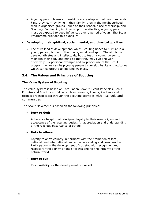• A young person learns citizenship step-by-step as their world expands. First, they learn by living in their family, then in the neighbourhood, then in organised groups - such as their school, place of worship, and Scouting. For training in citizenship to be effective, a young person must be exposed to good influences over a period of years. The Scout Programme provides this exposure.

#### • **Developing their spiritual, social, mental, and physical qualities:**

• The third kind of development, which Scouting hopes to nurture in a young person, is that of their body, mind, and spirit. The aim is not to develop athletes and intellectuals, but to teach a young person to maintain their body and mind so that they may live and work effectively. By personal example and by proper use of the Scout programme, we can help young people to develop habits and attitudes which can contribute to life-long wellness.

## **2.4. The Values and Principles of Scouting**

#### **The Value System of Scouting:**

The value-system is based on Lord Baden Powell's Scout Principles, Scout Promise and Scout Law. Values such as honestly, loyalty, kindness and respect are inculcated through the Scouting activities within schools and communities

The Scout Movement is based on the following principles:

#### • **Duty to God:**

Adherence to spiritual principles, loyalty to their own religion and acceptance of the resulting duties. An appreciation and understanding of the religious observance of others.

#### • **Duty to others:**

Loyalty to one's country in harmony with the promotion of local, national, and international peace, understanding and co-operation. Participation in the development of society, with recognition and respect for the dignity of one's fellows and for the integrity of the natural world.

#### • **Duty to self:**

Responsibility for the development of oneself.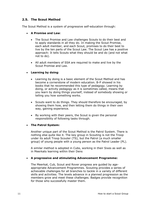# **2.5. The Scout Method**

The Scout Method is a system of progressive self-education through:

#### • **A Promise and Law:**

- The Scout Promise and Law challenges Scouts to do their best and to apply standards in all they do. In making the Scout Promise, each adult member, and each Scout, promises to do their best to live by the ten parts of the Scout Law. The Scout Law has a positive approach: It tells Scouts what they should be and do (and not what not to do).
- All adult members of SSA are required to make and live by the Scout Promise and Law.
- **Learning by doing:**
	- Learning by doing is a basic element of the Scout Method and has become a cornerstone of modern education. B-P showed in his books that he recommended this type of pedagogy. Learning by doing, or activity pedagogy as it is sometimes called, means that you learn by doing things yourself, instead of somebody showing or telling you how something works.
	- Scouts want to do things. They should therefore be encouraged, by showing them how, and then letting them do things in their own way, gaining experience.
	- By working with their peers, the Scout is given the personal responsibility of following tasks through.

#### • **The Patrol System:**

Another unique part of the Scout Method is the Patrol System. There is nothing else quite like it. The key group in Scouting is not the Troop under its adult Troop Scouter (TS), but the Patrol (a much smaller group) of young people with a young person as the Patrol Leader (PL).

A similar method is adopted in Cubs, working in their Sixes as well as in Meerkats learning within their Dens

#### • **A progressive and stimulating Advancement Programme:**

The Meerkat, Cub, Scout and Rover progress are guided by ageappropriate Advancement Programmes. Scouting provides a series of achievable challenges for all branches to tackle in a variety of different skills and activities. The levels advance in a planned progression as the members grow and meet these challenges. Badges provide recognition for those who successfully master them.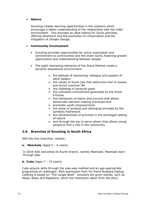#### • **Nature**

Scouting creates learning opportunities in the outdoors which encourage a better understanding of the relationship with the wider environment. This provides an ideal setting for Scout activities, offering adventure and the promotion of conservation and the mitigation of climate change.

#### • **Community Involvement**

- Scouting provides opportunities for active exploration and commitment to communities and the wider world, fostering greater appreciation and understanding between people.
- The eight interacting elements of the Scout Method create a dynamic educational environment:
	- the attitude of welcoming: dialogue and support of adult leaders
	- the values of Scout Law that determine how to assess and enrich common life
	- the challenge of personal goals
	- the individual commitment generated by the Scout Promise
	- the framework of teams and councils that allows democratic decision-making processes and
	- promotes youth empowerment
	- the sense of purpose and belonging provided by the symbolic framework
	- the attractiveness of activities in the privileged setting of nature
	- and through the joy to serve others that allows young people to find a role in the community

# **2.6. Branches of Scouting in South Africa**

SSA has four branches, namely:

**a. Meerkats** (Aged 5 – 6 years)

In 2019 SSA welcomed its fourth branch, namely Meerkats. Meerkats learn through play.

#### **b. Cubs** (Ages 7 – 10 years)

Cubs acquire skills through the play-way method and an age-appropriate programme of challenges. With permission from his friend Rudyard Kipling, Cubbing is based on "The Jungle Book". Scouters are given names, such as Akela, Baloo and Bagheera, which are characters taken from the story.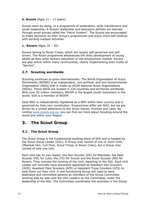### **b. Scouts** (Ages 11 – 17 years)

Scouts learn by doing, in a programme of exploration, skills transference and youth leadership. A Scouts' leadership and teamwork abilities are learned through small groups called the "Patrol System". The Scouts are encouraged to make decisions on their Group's programmes and enjoy more self-reliance with exciting outdoor activities.

#### **c. Rovers** (Ages 18 – 30)

Rovers belong to Rover Crews, which are largely self-governed and selfdriven. The Rover programme emphasises the skills development of young adults as they enter tertiary education or the employment market. Rovers are also active within many communities, clearly implementing their motto of "Service".

## **2.7. Scouting worldwide**

Scouting continues to grow internationally. The World Organisation of Scout Movements (WOSM) is an independent, non-political, and non-Governmental Organisation (NGO) that is made up of164 National Scout Organisations (NSOs). These NSOs are located in 224 countries and territories worldwide. With over 55 million members, WOSM is the largest youth movement in the world. SSA is a member of WOSM.

Each NSO is independently registered as a NPO within their country and is governed by their own constitution. Programmes differ per NSO, but we are driven by a united adherence to the Scout Values, Promise and Laws. By visiting [www.scouts.org.za,](http://www.scouts.org.za/) you can find out more about Scouting around the world and within your Region.

# **3. The Scout Group**

# **3.1. The Scout Group**

The Scout Group is the fundamental building block of SSA and is headed by the Scout Group Leader (SGL). A Group may consist of one or more Units (Meerkat Den, Cub Pack, Scout Troop, or Rover Crew), but a Group may consist of only one Unit.

Each Unit has its own leader, the Den Scouter (DS) for Meerkats, the Pack Scouter (PS) for Cubs, the (TS) for Scouts and the Rover Scouter (RS) for Rovers. They oversee the running of the Unit, reporting to the SGL. Each Unit Leader will normally have assistants appointed as Assistant Den Scouters (ADS), Assistant Pack Scouters (APS) or Assistant Troop Scouters (ATS) to help them run their Unit. A well-functioning Group will need to have dedicated and committed parents as members of the Group Committee working side by side with the Unit Leaders on the Committee, under the leadership of the SGL. The Committee coordinates the activities in the Group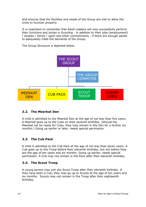and ensures that the facilities and needs of the Group are met to allow the Units to function properly.

It is important to remember that Adult Leaders will only successfully perform their functions and duties in Scouting - in addition to their jobs (employment) / studies / family / sport and other commitments - if there are enough adults to adequately meet the demands of the Group.

The Group Structure is depicted below.



# **3.2. The Meerkat Den**

A child is admitted to the Meerkat Den at the age of not less than five years. A Meerkat goes up to the Cubs on their seventh birthday. (Should the Meerkat not be ready for Cubs, they may remain in the Den for a further six months.) Going up earlier or later, needs special permission.

# **3.3. The Cub Pack**

A child is admitted to the Cub Pack at the age of not less than seven years. A Cub goes up to the Troop before their eleventh birthday, but not before they are the age of ten years and six months. Going up earlier, needs special permission. A Cub may not remain in the Pack after their eleventh birthday.

# **3.4. The Scout Troop**

A young person may join the Scout Troop after their eleventh birthday. If they have been a Cub, they may go up to Scouts at the age of ten years and six months. Scouts may not remain in the Troop after their eighteenth birthday.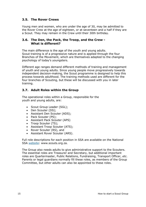# **3.5. The Rover Crews**

Young men and women, who are under the age of 30, may be admitted to the Rover Crew at the age of eighteen, or at seventeen and a half if they are a Scout. They may remain in the Crew until their 30th birthday.

## **3.6. The Den, the Pack, the Troop, and the Crew - What is different?**

The main difference is the age of the youth and young adults. Scout training is of a progressive nature and is applied through the four Branches of the Movement, which are themselves adapted to the changing psychology of today's youngsters.

Different age ranges demand different methods of training and management of youth and young adults. Since young people move progressively towards independent decision-making, the Scout programme is designed to help this process towards adulthood. The training methods used are different for the four branches of Scouting, but these will be discussed with you in later training.

# **3.7. Adult Roles within the Group**

The operational roles within a Group, responsible for the youth and young adults, are:

- Scout Group Leader (SGL);
- Den Scouter (DS):
- Assistant Den Scouter (ADS);
- Pack Scouter (PS):
- Assistant Pack Scouter (APS)
- Troop Scouter (TS);
- Assistant Troop Scouter (ATS);
- Rover Scouter (RS), and
- Assistant Rover Scouter (ARS).

Full role descriptions for each position in SSA are available on the National SSA [website:](https://www.scouts.org.za/members/adult-leaders/adult-job-descriptions/) www.scouts.org.za.

The Group also needs adults to give administrative support to the Scouters. The essential roles are Treasurer and Secretary, but additional important roles are Quartermaster, Public Relations, Fundraising, Transport Officer, *etc*. Parents or legal guardians normally fill these roles, as members of the Group Committee, but other adults can also be appointed to these roles.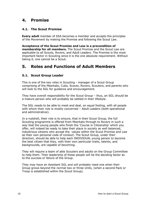# **4. Promise**

# **4.1. The Scout Promise**

**Every adult** member of SSA becomes a member and accepts the principles of the Movement by making the Promise and following the Scout Law.

**Acceptance of the Scout Promise and Law is a precondition of membership for all members.** The Scout Promise and the Scout Law are applicable to all Scouts, Rovers, and Adult Leaders. The Promise is the most important factor in Scouting since it is the one absolute requirement. Without taking it, one cannot be a Scout.

# **5. Roles and Functions of Adult Members**

# **5.1. Scout Group Leader**

This is one of the key roles in Scouting - manager of a Scout Group comprising of the Meerkats, Cubs, Scouts, Rovers, Scouters, and parents who will look to the SGL for guidance and encouragement.

They have overall responsibility for the Scout Group – thus, an SGL should be a mature person who will probably be settled in their lifestyle.

The SGL needs to be able to meet and deal, on equal footing, with all people with whom their role is mostly concerned – Adult Leaders (both operational and administrative).

In a nutshell, their role is to ensure, that in their Scout Group, the full Scouting programme is offered from Meerkats through to Rovers in such a way that the young people who finish the 'Course in Citizenship' which you offer, will indeed be ready to take their place in society as well balanced, industrious citizens who accept the values within the Scout Promise and Law as their own personal code of conduct. The Scout Group, under their direction, should be able to help each INDIVIDUAL young person to become the best citizen that they, with their own particular traits, talents, and backgrounds, are capable of becoming.

They will require a team of able Scouters and adults on the Group Committee to help them. Their leadership of these people will be the deciding factor as to the success or failure of the Group.

They may have an Assistant SGL and will probably need one when their Group grows beyond the normal two or three Units, (when a second Pack or Troop is established within the Scout Group).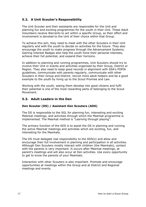# **5.2. A Unit Scouter's Responsibility**

The Unit Scouter and their assistants are responsible for the Unit and planning fun and exciting programmes for the youth in their Unit. These Adult Volunteers receive Warrants to act within a specific Group, so their effort and involvement is devoted to the Unit of their choice within that Group.

To achieve this aim, they need to meet with the other Scouters in their Unit regularly and with the youth to decide on activities for the future. They also encourage the youth to make progress through the Advancement Systems. Gaining Interest Badges also help the youth hone their personal interests, achieve their full potential, and expand their horizons.

In addition to planning and running programmes, Unit Scouters should try to involve their Unit in events and activities organised by their Group, District or Region. They also need to keep good records in alignment with SSA's POPIA guidelines, communicate with parents regularly, communicate with other Scouters in their Group and District, recruit more adult helpers and be a good example to the youth by living up to the Scout Promise and Law.

Working with the youth, seeing them develop into good citizens and fulfil their potential is one of the most rewarding parts of belonging to the Scout Movement.

#### **5.3. Adult Leaders in the Den**

#### **Den Scouter (DS) / Assistant Den Scouters (ADS)**

The DS is responsible to the SGL for planning fun, interesting and exciting Meerkat meetings, and activities through which the Meerkat programme is implemented. The Meerkat method is "Learning through playing".

The primary function of the ADS is to assist the DS in planning and running the active Meerkat meetings and activities which are exciting, fun, and interesting for the Meerkats.

The DS must delegate real responsibility to the ADS(s) and allow and encourage their full involvement in planning and participation in all activities. Although Den Scouters mostly interact with children (the Meerkats), contact with the parents is very important. It occurs after Meerkat meetings, at parent's meetings and will also occur at Den activities. Use every opportunity to get to know the parents of your Meerkats.

Interaction with other Scouters is also important. Promote and encourage opportunities at meetings within the Group and at District and Regional meetings and events.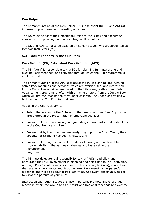#### **Den Helper**

The primary function of the Den Helper (DH) is to assist the DS and ADS(s) in presenting wholesome, interesting activities.

The DS must delegate their meaningful roles to the DH(s) and encourage involvement in planning and participating in all activities.

The DS and ADS can also be assisted by Senior Scouts, who are appointed as Meerkat Instructors (MI)

## **5.4. Adult Leaders in the Cub Pack**

#### **Pack Scouter (PS) / Assistant Pack Scouters (APS)**

The PS (Akela) is responsible to the SGL for planning fun, interesting and exciting Pack meetings, and activities through which the Cub programme is implemented.

The primary function of the APS is to assist the PS in planning and running active Pack meetings and activities which are exciting, fun, and interesting for the Cubs. The activities are based on the "Play-Way Method" and Cub Advancement programme, often with a theme or story from the Jungle Book, which will fire the imagination of younger children. The underlying values will be based on the Cub Promise and Law.

Adults in the Cub Pack aim to:

- Retain the interest of the Cubs up to the time when they "leap" up to the Troop through the presentation of enjoyable activities;
- Ensure that each Cub has a good grounding in basic skills, and particularly in the Cub Promise and Law;
- Ensure that by the time they are ready to go up to the Scout Troop, their appetite for Scouting has been whetted, and
- Ensure that enough opportunity exists for learning new skills and for showing ability in the various challenges and tasks set in the Advancement Programme.

The PS must delegate real responsibility to the APS(s) and allow and encourage their full involvement in planning and participation in all activities. Although Pack Scouters mostly interact with children (the Cubs), contact with the parents is very important. It occurs after Pack meetings, at parent's meetings and will also occur at Pack activities. Use every opportunity to get to know the parents of your Cubs.

Interaction with other Scouters is also important. Promote and encourage meetings within the Group and at District and Regional meetings and events.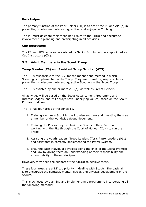#### **Pack Helper**

The primary function of the Pack Helper (PH) is to assist the PS and APS(s) in presenting wholesome, interesting, active, and enjoyable Cubbing.

The PS must delegate their meaningful roles to the PH(s) and encourage involvement in planning and participating in all activities.

#### **Cub Instructors**

The PS and APS can also be assisted by Senior Scouts, who are appointed as Cub Instructors (CIs).

#### **5.5. Adult Members in the Scout Troop**

#### **Troop Scouter (TS) and Assistant Troop Scouter (ATS)**

The TS is responsible to the SGL for the manner and method in which Scouting is implemented in the Troop. They are, therefore, responsible for presenting wholesome, interesting, active Scouting in the Scout Troop.

The TS is assisted by one or more ATS(s), as well as Parent Helpers.

All activities will be based on the Scout Advancement Programme and Interest Badges, and will always have underlying values, based on the Scout Promise and Law.

The TS has four areas of responsibility:

- 1. Training each new Scout in the Promise and Law and investing them as a member of the worldwide Scout Movement.
- 2. Training the PLs so they can train the Scouts in their Patrol and working with the PLs through the Court of Honour (CoH) to run the Troop.
- 3. Assisting the youth leaders, Troop Leaders (TLs), Patrol Leaders (PLs) and assistants in correctly implementing the Patrol System.
- 4. Ensuring each individual develops along the lines of the Scout Promise and Law by giving them an understanding of their responsibility and accountability to these principles.

However, they need the support of the ATS(s) to achieve these.

These four areas are a TS' top priority in dealing with Scouts. The basic aim is to encourage the spiritual, mental, social, and physical development of the Scouts.

This is achieved by planning and implementing a programme incorporating all the following methods: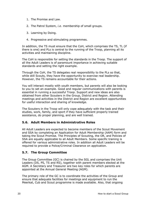- 1. The Promise and Law.
- 2. The Patrol System, *i.e.* membership of small groups.
- 3. Learning by Doing.
- 4. Progressive and stimulating programmes.

In addition, the TS must ensure that the CoH, which comprises the TS, TL (if there is one) and PLs is central to the running of the Troop, planning all its activities and maintaining discipline.

The CoH is responsible for setting the standards in the Troop. The support of all the Adult Leaders is of paramount importance in achieving suitable standards and setting the right example.

Through the CoH, the TS delegates real responsibility to the PLs so that, while still Scouts, they have the opportunity to exercise real leadership. However, the TS remains accountable for their actions.

You will interact mostly with youth members, but parents will also be looking to you to set an example. Good and regular communications with parents is essential in running a successful Troop. Support and new ideas are also obtained from other Scouters in the Group, District and Region. Attending meetings and activities in the District and Region are excellent opportunities for useful interaction and sharing of knowledge.

The Scouters in the Troop will only cope adequately with the task and their studies, work, family, and sport if they have sufficient properly trained assistance, do proper planning, and are well trained.

# **5.6. Adult Members in Administrative Roles**

All Adult Leaders are expected to become members of the Scout Movement and SSA by completing an Application for Adult Membership (AAM) form and taking the Scout Promise. The Principles of Scouting, the OR, and Policies of SSA are equally applicable to all Adult Members. Some specific training is offered for various administrative roles. In addition all Adult Leaders will be required to provide a Police/Criminal Clearance on application.

# **5.7. The Group Committee**

The Group Committee (GC) is chaired by the SGL and comprises the Unit Leaders (DS, PS, TS and RS), together with parent members elected at the AGM. A Secretary and Treasurer are two key roles for which parents are appointed at the Annual General Meeting (AGM).

The primary role of the GC is to coordinate the activities of the Group and ensure that adequate facilities for meetings and equipment to run the Meerkat, Cub and Scout programme is made available. Also, that ongoing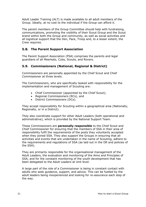Adult Leader Training (ALT) is made available to all adult members of the Group. Ideally, at no cost to the individual if the Group can afford it.

The parent members of the Group Committee should help with fundraising, communications, promoting the visibility of their Scout Group and the Scout brand within both the Group and community, as well as social activities and all logistical support that the Den, Pack, Troop and, to a lesser extent, the Crew requires.

# **5.8. The Parent Support Association**

The Parent Support Association (PSA) comprises the parents and legal guardians of all Meerkats, Cubs, Scouts, and Rovers.

# **5.9. Commissioners (National, Regional & District)**

Commissioners are personally appointed by the Chief Scout and Chief Commissioner at three levels.

The Commissioners, who are specifically tasked with responsibility for the implementation and management of Scouting are:

- Chief Commissioner (appointed by the Chief Scout);
- Regional Commissioners (RCs), and
- District Commissioners (DCs).

They accept responsibility for Scouting within a geographical area (Nationally, Regionally, or in a District).

They also coordinate support for other Adult Leaders (both operational and administrative), which is provided by the National Support Team.

These Commissioners are **personally responsible** to the Chief Scout and Chief Commissioner for ensuring that the members of SSA in their area of responsibility fulfil the requirements of the posts they voluntarily accepted when they joined SSA. They also support the Groups in ensuring that all activities and events that are undertaken in the name of Scouting, adhere to the requirements and regulations of SSA (as laid out in the OR and policies of the SSA).

They are primarily responsible for the organisational management of the Adult Leaders, the evaluation and monitoring of the Aims and Principles of SSA, and for the constant monitoring of the youth development that has been delegated to the Adult Leaders at Unit level.

A large part of the role of a Commissioner is being in constant contact with adults who seek guidance, support, and advice. This can be fuelled by the adult leaders being inexperienced and looking for re-assurance each step of the way.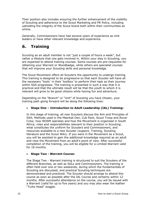Their position also includes ensuring the further enhancement of the visibility of Scouting and adherence to the Scout Marketing and PR Policy, including upholding the integrity of the Scout brand both within their communities as online.

Generally, Commissioners have had several years of experience as Unit leaders or have other relevant knowledge and experience.

# **6. Training**

Scouting as an adult member is not "just a couple of hours a week", but rather a lifestyle that one gets involved in. Within your stay in Scouting, you are expected to attend training courses. Some courses are pre-requisites for obtaining your Warrant or Woodbadge, while others are specialist courses that will improve your Scouting skills and personal knowledge.

The Scout Movement offers all Scouters the opportunity to undergo training. This training is designed to be progressive so that each Scouter will have all the necessary "tools" in their 'toolbox' to perform their task as their journey within SSA progresses. The training is presented in such a way that it is practical and that the ultimate result will be that the youth to whom it is relevant will grow to be good citizens while having fun and adventure.

Depending on the "Branch" or "Unit" of Scouting you have chosen, your training path going forward will be along the following lines:

# • **Stage One – Introduction to Adult Leadership (IAL) Training:**

In this stage of training, all new Scouters discuss the Aim and Principles of SSA; Methods used in the Meerkat Den, Cub Pack, Scout Troop and Rover Crew; how WOSM operates and how the Movement is organised in South Africa; roles and responsibilities relevant to their position in Scouting; what constitutes the uniform for Scouters and Commissioners, and resources available to a new Scouter (support, Training, Scouting literature and the Scout Wiki). If you were in the Movement as a Scout, you will be assisted to gain the additional knowledge required as an adult and view the Movement from an adult's point of view. After successful completion of the training, you will be eligible for a Limited Warrant valid for 18 months.

#### • **Stage Two - Warrant Course:**

The Stage Two - Warrant training is structured to suit the Scouters of the different Branches, as well as SGLs and Commissioners. The training is often held over one or two weekends, during which the fundamentals of Scouting are discussed, and practical Scouting techniques are demonstrated and practiced. The Scouter should arrange to attend this course as soon as possible after the IAL Course and certainly within 12 months. After successful attendance on the course, you will be issued with a Warrant (valid for up to five years) and you may also wear the leather "Turks Head" woggle.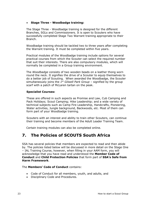#### • **Stage Three - Woodbadge training:**

The Stage Three - Woodbadge training is designed for the different Branches, SGLs and Commissioners. It is open to Scouters who have successfully completed Stage Two Warrant training appropriate to their Branch.

Woodbadge training should be tackled two to three years after completing the Warrant training. It must be completed within five years.

Practical modules of the Woodbadge training include options for several practical courses from which the Scouter can select the required number that suit their interests. There are also compulsory modules, which will normally be completed in a Group training environment.

The *Woodbadge* consists of two wooden beads on a leather thong worn round the neck. It signifies the drive of a Scouter to equip themselves to do a better job of Scouting. When awarded the Woodbadge, the Scouter simultaneously joins the *1 st Gilwell Park Group –* signified by the group scarf with a patch of McLaren tartan on the peak.

#### **Specialist Courses:**

These are offered in such aspects as Promise and Law, Cub Camping and Pack Holidays; Scout Camping; Hike Leadership; and a wide variety of technical subjects such as Camp Fire Leadership, Handcrafts, Pioneering, Water activities, Jungle background, Backwoods, *etc*. Most of them can form part of your Woodbadge training.

Scouters with an interest and ability to train other Scouters, can continue their training and become members of the Adult Leader Training Team.

Certain training modules can also be completed online.

# **7. The Policies of SCOUTS South Africa**

SSA has several policies that members are expected to read and then abide by. The policies listed below will be discussed in more detail on the Stage One – IAL Training Course, however, when filling in your AAM form, you will acknowledge that you have read and understood the **Member Code of Conduct** and **Child Protection Policies** that form part of **SSA's Safe from Harm Framework**.

#### The **Members' Code of Conduct** contains:

- Code of Conduct for all members, youth, and adults, and
- Disciplinary Code and Procedures.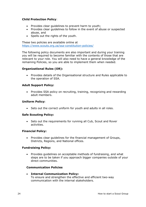#### **Child Protection Policy**:

- Provides clear guidelines to prevent harm to youth;
- Provides clear guidelines to follow in the event of abuse or suspected abuse, and
- Spells out the rights of the youth.

These two policies are available online at <https://www.scouts.org.za/ssa-constitution-policies/>

The following policy documents are also important and during your training you will be required to become familiar with the contents of those that are relevant to your role. You will also need to have a general knowledge of the remaining Policies, so you are able to implement them when needed.

#### **Organizational Rules (OR):**

• Provides details of the Organisational structure and Rules applicable to the operation of SSA.

#### **Adult Support Policy:**

• Provides SSA policy on recruiting, training, recognizing and rewarding adult members.

#### **Uniform Policy:**

• Sets out the correct uniform for youth and adults in all roles.

#### **Safe Scouting Policy:**

• Sets out the requirements for running all Cub, Scout and Rover activities.

#### **Financial Policy:**

• Provides clear guidelines for the financial management of Groups, Districts, Regions, and National offices.

#### **Fundraising Policy:**

• Provides guidelines on acceptable methods of fundraising, and what steps are to be taken if you approach bigger companies outside of your direct communities.

#### **Communication Policies**

• **Internal Communication Policy:**  To ensure and strengthen the effective and efficient two-way communication with the internal stakeholders.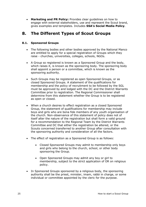• **Marketing and PR Policy:** Provides clear guidelines on how to engage with external stakeholders, use and represent the Scout brand, gives examples and templates. Includes **SSA's Social Media Policy**.

# **8. The Different Types of Scout Groups**

#### **8.1. Sponsored Groups**

- The following bodies and other bodies approved by the National Manco are entitled to apply for a special registration of Groups which they raise - churches, universities, colleges, schools, NGOs.
- A Group so registered is known as a Sponsored Group and the body, which raises it, is known as the sponsoring body. The sponsoring body shall appoint a person or a committee, which is known as the sponsoring authority.
- Such Groups may be registered as open Sponsored Groups, or as closed Sponsored Groups. A statement of the qualifications for membership and the policy of recruitment to be followed by the SGL must be approved by and lodged with the DC and the District Warrants Committee prior to registration. The Regional Commissioner shall determine from this statement whether the Group is to be registered as open or closed.
- When a church desires to effect registration as a closed Sponsored Group, the statement of qualifications for membership may include boys and girls who are bona fide members of any youth organisation of the church. Non-observance of this statement of policy does not of itself alter the nature of the registration but shall form a valid ground for a recommendation to the Regional Team by the District Warrants Committee and DC that either the registration be altered, or the Scouts concerned transferred to another Group after consultation with the sponsoring authority and consideration of all the factors.
- The effect of registration as a Sponsored Group is as follows:
	- Closed Sponsored Groups may admit to membership only boys and girls who belong to the church, school, or other body sponsoring the Group.
	- Open Sponsored Groups may admit any boy or girl to membership, subject to the strict application of OR on religious policy.
- In Sponsored Groups sponsored by a religious body, the sponsoring authority shall be the priest, minister, imam, rabbi in charge, or some individual or committee appointed by the cleric for the purpose.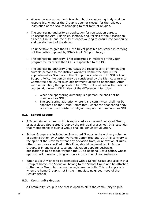- Where the sponsoring body is a church, the sponsoring body shall be responsible, whether the Group is open or closed, for the religious instruction of the Scouts belonging to that form of religion.
- The sponsoring authority on application for registration agrees: To accept the Aim, Principles, Method, and Policies of the Association as set out in OR and the duty of endeavouring to ensure the continuity and development of the Group.

To undertake to give the SGL the fullest possible assistance in carrying out the duties imposed by SSA's Adult Support Policy.

- The sponsoring authority is not concerned in matters of the youth programme for which the SGL is responsible to the DC.
- The sponsoring authority undertakes the responsibility of nominating suitable persons to the District Warrants Committee and DC for appointment as Scouters of the Group in accordance with SSA's Adult Support Policy. No person may be considered by the District Warrants Committee and DC for such appointment unless so nominated. After such nomination, the application for a Warrant shall follow the ordinary course laid down in OR in view of the difference in function:
	- When the sponsoring authority is a person, he shall not be nominated as SGL;
	- The sponsoring authority where it is a committee, shall not be appointed as the Group Committee; where the sponsoring body is a church, a minister of religion may not be nominated as SGL.

#### **8.2. School Groups**

- A School Group is one, which is registered as an open Sponsored Group, or as a closed Sponsored Group by the principal of a school. It is essential that membership of such a Group shall be genuinely voluntary.
- School Groups are included as Sponsored Groups in the ordinary scheme of administration by District Warrants Committee and DC. It is contrary to the spirit of the Movement that any deviation from, or relaxation of rules, other than those specified in this Rule, should be permitted in School Groups. If in any special case any relaxation appears desirable, application is to be made through the DC to Regional Scout Office, whose approval will, however, be given only in exceptional circumstances.
- When a Scout wishes to be connected with a School Group and also with a Group at home, the Scout will belong to the School Group and be attached to the home Group but cannot be registered in both. This will apply only when the home Group is not in the immediate neighbourhood of the Scout's school.

#### **8.3. Community Groups**

A Community Group is one that is open to all in the community to join.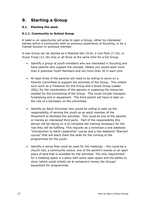# **9. Starting a Group**

## **9.1. Planting the seed.**

### **9.1.1. Community or School Group**

A need or an opportunity will arise to open a Group, either by interested parties within a community with no previous experience of Scouting, or by a trained Scouter or previous member.

A new Group can be started as a Meerkat Den (5-6), a Cub Pack (7-10), or Scout Troop (11-18) only or all three at the same time for a full Group.

- Identify a group of youth members who are interested in Scouting and have parents who support the concept. Ideally you would want more than 6 potential Youth Members and not more than 30 in each Unit.
- At least three of the parents will need to be willing to serve on a Parents Committee to support the activities of the Group. This entails such work as a Treasurer for the Group and a Scout Group Leader (SGL) for the coordination of the parents in supplying the resources needed for the functioning of the Group. This could include transport, fundraising and or equipment. The third parent will have to take on the role of a Secretary on the committee.
- Identify an Adult Volunteer who would be willing to take up the responsibility of serving the youth as an adult member of the Movement to facilitate the activities. This could be one of the parents or merely an interested third party. Part of the responsibility this person will be taking on is to complete the training necessary for the role they will be fulfilling. This requires as a minimum a one weekend "Introduction to Adult Leadership" course and a two weekend "Warrant course" that will teach them the skills for the running of the programmes for the youth.
- Identify a venue that could be used for the meetings this could be a church hall, a community centre, one of the parent's homes or an open piece of land that is available for the activities. The only requirement for a meeting space is a place with some open space and the ability to store (which could initially be at someone's home) the Groups' equipment for programmes.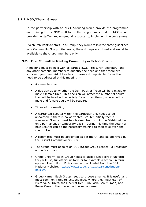#### **9.1.2. NGO/Church Group**

In the partnership with an NGO, Scouting would provide the programme and training for the NGO staff to run the programmes, and the NGO would provide the staffing and on ground resources to implement the programme.

If a church wants to start up a Group, they would follow the same guidelines as a Community Group. Generally, these Groups are closed and would be available to the church members only.

#### **9.2. First Committee Meeting Community or School Group**

A meeting must be held with all parties (SGL, Treasurer, Secretary, and any other potential member) to quantify the need and that there are sufficient youth and Adult Leaders to make a Group viable. Items that need to be addressed at this meeting: -

- A venue to meet.
- A decision as to whether the Den, Pack or Troop will be a mixed or male / female Unit. This decision will affect the number of adults that will be involved, especially for a mixed Group, where both a male and female adult will be required.
- Times of the meeting.
- A warranted Scouter within the particular Unit needs to be appointed, if there is no warranted Scouter initially then a warranted Scouter must be obtained from within the District either on a permanent or temporary basis. During this time the potential new Scouter can do the necessary training to then take over and run the Unit.
- A committee must be appointed as per the OR and be approved by the District Commissioner (DC).
- The Group must appoint an SGL (Scout Group Leader), a Treasurer and a Secretary.
- Group Uniform. Each Group needs to decide what sort of uniform they will use, full official uniform or for example a school uniform option. The Uniform Policy can be downloaded from the SSA National website: [https://www.scouts.org.za/ssa-constitution](https://www.scouts.org.za/ssa-constitution-policies/)[policies/](https://www.scouts.org.za/ssa-constitution-policies/)
- Group Name. Each Group needs to choose a name. It is useful and most common if this reflects the place where they meet e.g. 1<sup>st</sup> Pretoria. All Units, the Meerkat Den, Cub Pack, Scout Troop, and Rover Crew in that place use the same name.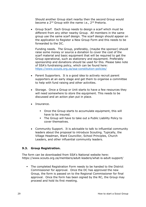Should another Group start nearby then the second Group would become a 2<sup>nd</sup> Group with the name i.e., 2<sup>nd</sup> Pretoria.

• Group Scarf. Each Group needs to design a scarf which must be different from any other nearby Group. All members in the same group use the same scarf design. The scarf design should appear on the application to Register a New Group Form and this needs to be forwarded to the DC.

Funding needs. The Group, preferably, (maybe the sponsor) should raise some money or source a donation to cover the cost of the scarf material and basic equipment that will be required to get the Group operational, such as stationery and equipment. Preferably sponsorship and donations should be used for this. Please take note of SSA's fundraising policy, which can be found here: <https://www.scouts.org.za/ssa-constitution-policies/>

- Parent Supporters. It is a good idea to actively recruit parent supporters at an early stage and get them to organise a committee to help with fund raising and other activities.
- Storage. Once a Group or Unit starts to have a few resources they will need somewhere to store the equipment. This needs to be discussed and an action plan put in place.
- Insurance.
	- Once the Group starts to accumulate equipment, this will have to be insured.
	- The Group will have to take out a Public Liability Policy to cover themselves.
- Community Support. It is advisable to talk to influential community leaders about the proposal to introduce Scouting. Typically, the Village Headman, Ward Councillor, School Principles, Church Leaders, and other influential community leaders.

#### **9.3. Group Registration.**

The form can be downloaded from SSA's National website here: https://www.scouts.org.za/members/adult-leaders/what-is-adult-support/

▪ The completed Registration Form needs to be handed to the District Commissioner for approval. Once the DC has approved the new Group, the form is passed on to the Regional Commissioner for final approval. Once the form has been signed by the RC, the Group may proceed and hold its first meeting.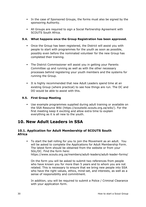- In the case of Sponsored Groups, the forms must also be signed by the sponsoring Authority.
- All Groups are required to sign a Social Partnership Agreement with SCOUTS South Africa.

#### **9.4. What happens once the Group Registration has been approved.**

- Once the Group has been registered, the District will assist you with people to start with programmes for the youth as soon as possible, possibly even before the nominated volunteer for the new Group has completed their training.
- **•** The District Commissioner will assist you in getting your Parents Committee up and running as well as with the other necessary processes behind registering your youth members and the systems for running the Group.
- It is highly recommended that new Adult Leaders spend time at an existing Group (where practical) to see how things are run. The DC and DO would be able to assist with this.

#### **9.5. First Group Meeting**

▪ Use example programmes supplied during adult training or available on the SSA Resource Wiki (https://scoutwiki.scouts.org.za/wiki/). For the first meeting keep it exciting and allow extra time to explain everything as it is all new to the youth.

# **10. New Adult Leaders in SSA**

#### **10.1. Application for Adult Membership of SCOUTS South Africa**

To start the ball rolling for you to join the Movement as an adult. You will be asked to complete the Applications for Adult Membership Form. The latest form should be obtained from the website or from your SGL/DC. Find the form here: https://www.scouts.org.za/members/adult-leaders/adult-leader-forms/

On the form you will be asked to submit two references from people who have known you for more than 5 years and to whom you are not related. This is necessary to ensure that we bring new people into SSA who have the right values, ethics, mind-set, and interests, as well as a sense of responsibility and commitment.

In addition, you will be required to submit a Police / Criminal Clearance with your application form.